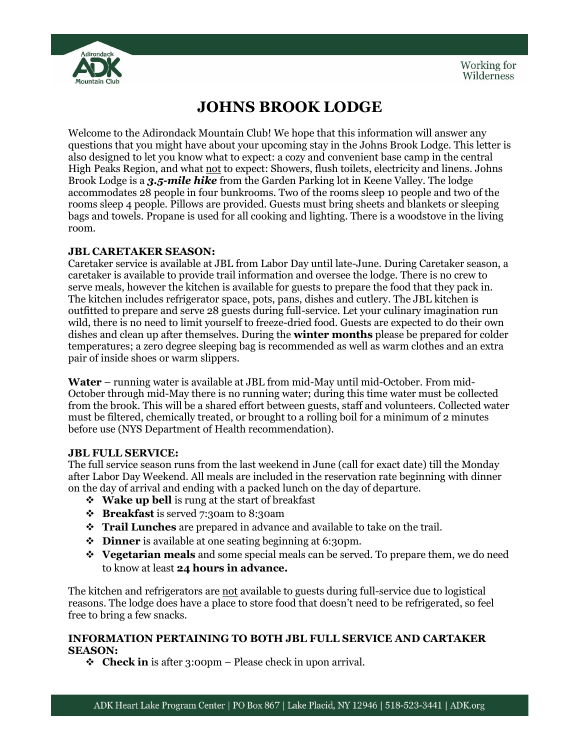

# **JOHNS BROOK LODGE**

Welcome to the Adirondack Mountain Club! We hope that this information will answer any questions that you might have about your upcoming stay in the Johns Brook Lodge. This letter is also designed to let you know what to expect: a cozy and convenient base camp in the central High Peaks Region, and what not to expect: Showers, flush toilets, electricity and linens. Johns Brook Lodge is a *3.5-mile hike* from the Garden Parking lot in Keene Valley. The lodge accommodates 28 people in four bunkrooms. Two of the rooms sleep 10 people and two of the rooms sleep 4 people. Pillows are provided. Guests must bring sheets and blankets or sleeping bags and towels. Propane is used for all cooking and lighting. There is a woodstove in the living room.

# **JBL CARETAKER SEASON:**

Caretaker service is available at JBL from Labor Day until late-June. During Caretaker season, a caretaker is available to provide trail information and oversee the lodge. There is no crew to serve meals, however the kitchen is available for guests to prepare the food that they pack in. The kitchen includes refrigerator space, pots, pans, dishes and cutlery. The JBL kitchen is outfitted to prepare and serve 28 guests during full-service. Let your culinary imagination run wild, there is no need to limit yourself to freeze-dried food. Guests are expected to do their own dishes and clean up after themselves. During the **winter months** please be prepared for colder temperatures; a zero degree sleeping bag is recommended as well as warm clothes and an extra pair of inside shoes or warm slippers.

**Water** – running water is available at JBL from mid-May until mid-October. From mid-October through mid-May there is no running water; during this time water must be collected from the brook. This will be a shared effort between guests, staff and volunteers. Collected water must be filtered, chemically treated, or brought to a rolling boil for a minimum of 2 minutes before use (NYS Department of Health recommendation).

# **JBL FULL SERVICE:**

The full service season runs from the last weekend in June (call for exact date) till the Monday after Labor Day Weekend. All meals are included in the reservation rate beginning with dinner on the day of arrival and ending with a packed lunch on the day of departure.

- **Wake up bell** is rung at the start of breakfast
- **Breakfast** is served 7:30am to 8:30am
- **Trail Lunches** are prepared in advance and available to take on the trail.
- ◆ **Dinner** is available at one seating beginning at 6:30pm.
- **Vegetarian meals** and some special meals can be served. To prepare them, we do need to know at least **24 hours in advance.**

The kitchen and refrigerators are not available to guests during full-service due to logistical reasons. The lodge does have a place to store food that doesn't need to be refrigerated, so feel free to bring a few snacks.

### **INFORMATION PERTAINING TO BOTH JBL FULL SERVICE AND CARTAKER SEASON:**

**Check in** is after 3:00pm – Please check in upon arrival.